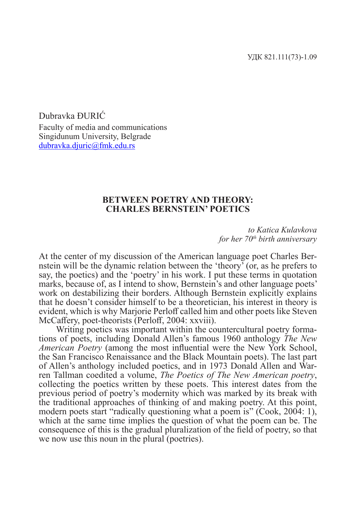Dubravka ĐURIĆ Faculty of media and communications Singidunum University, Belgrade dubravka.djuric@fmk.edu.rs

## **BETWEEN POETRY AND THEORY: CHARLES BERNSTEIN' POETICS**

*to Katica Kulavkova for her 70th birth anniversary*

At the center of my discussion of the American language poet Charles Bernstein will be the dynamic relation between the 'theory' (or, as he prefers to say, the poetics) and the 'poetry' in his work. I put these terms in quotation marks, because of, as I intend to show, Bernstein's and other language poets' work on destabilizing their borders. Although Bernstein explicitly explains that he doesn't consider himself to be a theoretician, his interest in theory is evident, which is why Marjorie Perloff called him and other poets like Steven McCaffery, poet-theorists (Perloff, 2004: xxviii).

Writing poetics was important within the countercultural poetry formations of poets, including Donald Allen's famous 1960 anthology *The New American Poetry* (among the most influential were the New York School, the San Francisco Renaissance and the Black Mountain poets). The last part of Allen's anthology included poetics, and in 1973 Donald Allen and Warren Tallman coedited a volume, *The Poetics of The New American poetry*, collecting the poetics written by these poets. This interest dates from the previous period of poetry's modernity which was marked by its break with the traditional approaches of thinking of and making poetry. At this point, modern poets start "radically questioning what a poem is" (Cook, 2004: 1), which at the same time implies the question of what the poem can be. The consequence of this is the gradual pluralization of the field of poetry, so that we now use this noun in the plural (poetries).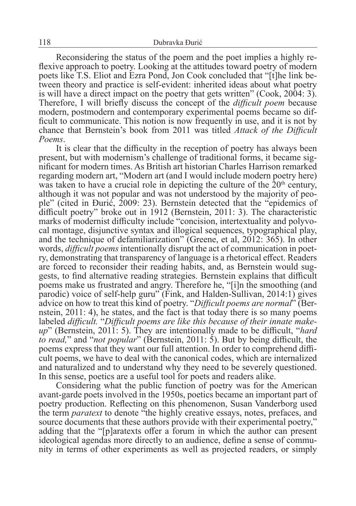Reconsidering the status of the poem and the poet implies a highly reflexive approach to poetry. Looking at the attitudes toward poetry of modern poets like T.S. Eliot and Ezra Pond, Jon Cook concluded that "[t]he link between theory and practice is self-evident: inherited ideas about what poetry is will have a direct impact on the poetry that gets written" (Cook, 2004: 3). Therefore, I will briefly discuss the concept of the *difficult poem* because modern, postmodern and contemporary experimental poems became so difficult to communicate. This notion is now frequently in use, and it is not by chance that Bernstein's book from 2011 was titled *Attack of the Difficult Poems*.

It is clear that the difficulty in the reception of poetry has always been present, but with modernism's challenge of traditional forms, it became significant for modern times. As British art historian Charles Harrison remarked regarding modern art, "Modern art (and I would include modern poetry here) was taken to have a crucial role in depicting the culture of the  $20<sup>th</sup>$  century, although it was not popular and was not understood by the majority of people" (cited in Đurić, 2009: 23). Bernstein detected that the "epidemics of difficult poetry" broke out in 1912 (Bernstein, 2011: 3). The characteristic marks of modernist difficulty include "concision, intertextuality and polyvocal montage, disjunctive syntax and illogical sequences, typographical play, and the technique of defamiliarization" (Greene, et al, 2012: 365). In other words, *difficult poems* intentionally disrupt the act of communication in poetry, demonstrating that transparency of language is a rhetorical effect. Readers are forced to reconsider their reading habits, and, as Bernstein would suggests, to find alternative reading strategies. Bernstein explains that difficult poems make us frustrated and angry. Therefore he, "[i]n the smoothing (and parodic) voice of self-help guru" (Fink, and Halden-Sullivan, 2014:1) gives advice on how to treat this kind of poetry. "*Difficult poems are normal*" (Bernstein, 2011: 4), he states, and the fact is that today there is so many poems labeled *difficult*. "*Difficult poems are like this because of ap*" (Bernstein, 2011: 5). They are intentionally made to be difficult, "*hard to read,*" and "*not popular*" (Bernstein, 2011: 5). But by being difficult, the poems express that they want our full attention. In order to comprehend diffi- cult poems, we have to deal with the canonical codes, which are internalized and naturalized and to understand why they need to be severely questioned. In this sense, poetics are a useful tool for poets and readers alike.

Considering what the public function of poetry was for the American avant-garde poets involved in the 1950s, poetics became an important part of poetry production. Reflecting on this phenomenon, Susan Vanderborg used the term *paratext* to denote "the highly creative essays, notes, prefaces, and source documents that these authors provide with their experimental poetry," adding that the "[p]aratexts offer a forum in which the author can present ideological agendas more directly to an audience, define a sense of community in terms of other experiments as well as projected readers, or simply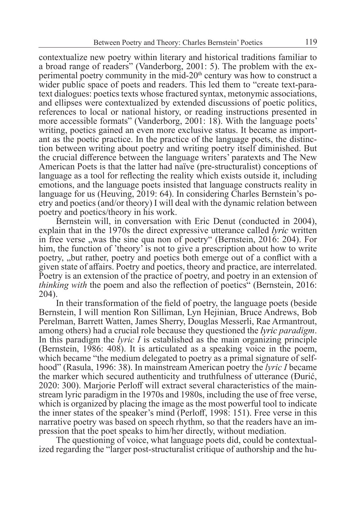contextualize new poetry within literary and historical traditions familiar to a broad range of readers" (Vanderborg, 2001: 5). The problem with the experimental poetry community in the mid- $20<sup>th</sup>$  century was how to construct a wider public space of poets and readers. This led them to "create text-paratext dialogues: poetics texts whose fractured syntax, metonymic associations, and ellipses were contextualized by extended discussions of poetic politics, references to local or national history, or reading instructions presented in more accessible formats" (Vanderborg, 2001: 18). With the language poets' writing, poetics gained an even more exclusive status. It became as important as the poetic practice. In the practice of the language poets, the distinction between writing about poetry and writing poetry itself diminished. But the crucial difference between the language writers' paratexts and The New American Poets is that the latter had naïve (pre-structuralist) conceptions of language as a tool for reflecting the reality which exists outside it, including emotions, and the language poets insisted that language constructs reality in language for us (Heuving, 2019: 64). In considering Charles Bernstein's poetry and poetics (and/or theory) I will deal with the dynamic relation between poetry and poetics/theory in his work.

Bernstein will, in conversation with Eric Denut (conducted in 2004), explain that in the 1970s the direct expressive utterance called *lyric* written in free verse , was the sine qua non of poetry " (Bernstein, 2016: 204). For him, the function of 'theory' is not to give a prescription about how to write poetry, "but rather, poetry and poetics both emerge out of a conflict with a given state of affairs. Poetry and poetics, theory and practice, are interrelated. Poetry is an extension of the practice of poetry, and poetry in an extension of *thinking with* the poem and also the reflection of poetics" (Bernstein, 2016: 204).

In their transformation of the field of poetry, the language poets (beside Bernstein, I will mention Ron Silliman, Lyn Hejinian, Bruce Andrews, Bob Perelman, Barrett Watten, James Sherry, Douglas Messerli, Rae Armantrout, among others) had a crucial role because they questioned the *lyric paradigm*. In this paradigm the *lyric I* is established as the main organizing principle (Bernstein, 1986: 408). It is articulated as a speaking voice in the poem, which became "the medium delegated to poetry as a primal signature of self-<br>hood" (Rasula, 1996: 38). In mainstream American poetry the *lyric I* became<br>the marker which secured authenticity and truthfulness of utterance ( 2020: 300). Marjorie Perloff will extract several characteristics of the main-<br>stream lyric paradigm in the 1970s and 1980s, including the use of free verse, which is organized by placing the image as the most powerful tool to indicate the inner states of the speaker's mind (Perloff, 1998: 151). Free verse in this narrative poetry was based on speech rhythm, so that the readers have an impression that the poet speaks to him/her directly, without mediation.

The questioning of voice, what language poets did, could be contextualized regarding the "larger post-structuralist critique of authorship and the hu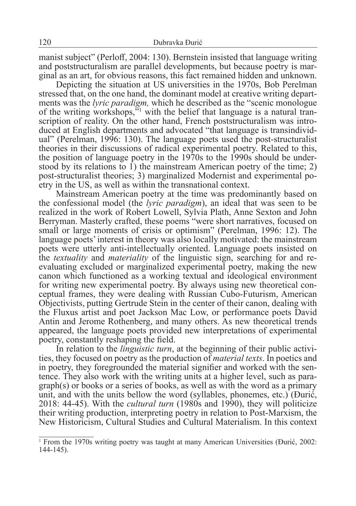manist subject" (Perloff, 2004: 130). Bernstein insisted that language writing and poststructuralism are parallel developments, but because poetry is marginal as an art, for obvious reasons, this fact remained hidden and unknown.

Depicting the situation at US universities in the 1970s, Bob Perelman stressed that, on the one hand, the dominant model at creative writing departments was the *lyric paradigm,* which he described as the "scenic monologue of the writing workshops,"1 with the belief that language is a natural transcription of reality. On the other hand, French poststructuralism was introduced at English departments and advocated "that language is transindividual" (Perelman, 1996: 130). The language poets used the post-structuralist theories in their discussions of radical experimental poetry. Related to this, the position of language poetry in the 1970s to the 1990s should be understood by its relations to 1) the mainstream American poetry of the time; 2) post-structuralist theories; 3) marginalized Modernist and experimental poetry in the US, as well as within the transnational context.

Mainstream American poetry at the time was predominantly based on the confessional model (the *lyric paradigm*), an ideal that was seen to be realized in the work of Robert Lowell, Sylvia Plath, Anne Sexton and John Berryman. Masterly crafted, these poems "were short narratives, focused on small or large moments of crisis or optimism" (Perelman, 1996: 12). The language poets' interest in theory was also locally motivated: the mainstream poets were utterly anti-intellectually oriented. Language poets insisted on the *textuality* and *materiality* of the linguistic sign, searching for and reevaluating excluded or marginalized experimental poetry, making the new canon which functioned as a working textual and ideological environment for writing new experimental poetry. By always using new theoretical conceptual frames, they were dealing with Russian Cubo-Futurism, American Objectivists, putting Gertrude Stein in the center of their canon, dealing with the Fluxus artist and poet Jackson Mac Low, or performance poets David Antin and Jerome Rothenberg, and many others. As new theoretical trends appeared, the language poets provided new interpretations of experimental poetry, constantly reshaping the field.

In relation to the *linguistic turn*, at the beginning of their public activities, they focused on poetry as the production of *material texts*. In poetics and in poetry, they foregrounded the material signifier and worked tence. They also work with the writing units at a higher level, such as para-<br>graph(s) or books or a series of books, as well as with the word as a primary unit, and with the units bellow the word (syllables, phonemes, etc.) (Đurić, 2018: 44-45). With the *cultural turn* (1980s and 1990), they will politicize their writing production, interpreting poetry in relation to Post-Marxism, the New Historicism, Cultural Studies and Cultural Materialism. In this context

<sup>1</sup> From the 1970s writing poetry was taught at many American Universities (Đurić, 2002: 144-145).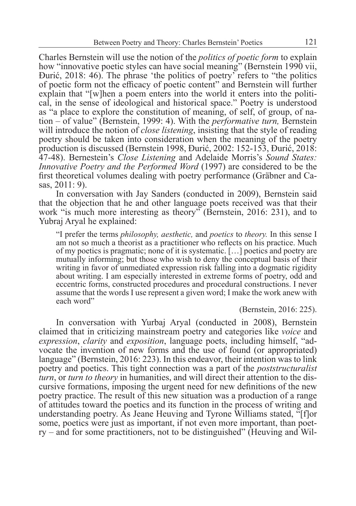Charles Bernstein will use the notion of the *politics of poetic form* to explain how "innovative poetic styles can have social meaning" (Bernstein 1990 vii, Đurić, 2018: 46). The phrase 'the politics of poetry' refers to "the politics of poetic form not the efficacy of poetic content" and Bernstein will further explain that "[w]hen a poem enters into the world it enters into the political, in the sense of ideological and historical space." Poetry is understood as "a place to explore the constitution of meaning, of self, of group, of nation – of value" (Bernstein, 1999: 4). With the *performative turn,* Bernstein will introduce the notion of *close listening*, insisting that the style of reading poetry should be taken into consideration when the meaning of the poetry production is discussed (Bernstein 1998, Đurić, 2002: 152-153, Đurić, 2018: 47-48). Bernestein's *Close Listening* and Adelaide Morris's *Sound States: Innovative Poetry and the Performed Word* (1997) are considered to be the first theoretical volumes dealing with poetry performance (Gräbner and Casas, 2011: 9).

In conversation with Jay Sanders (conducted in 2009), Bernstein said that the objection that he and other language poets received was that their work "is much more interesting as theory" (Bernstein, 2016: 231), and to Yubraj Aryal he explained:

"I prefer the terms *philosophy, aesthetic,* and *poetics* to *theory.* In this sense I am not so much a theorist as a practitioner who reflects on his practice. Much of my poetics is pragmatic; none of it is systematic. […] poetics and poetry are mutually informing; but those who wish to deny the conceptual basis of their writing in favor of unmediated expression risk falling into a dogmatic rigidity about writing. I am especially interested in extreme forms of poetry, odd and eccentric forms, constructed procedures and procedural constructions. I never assume that the words I use represent a given word; I make the work anew with each word"

(Bernstein, 2016: 225).

In conversation with Yurbaj Aryal (conducted in 2008), Bernstein claimed that in criticizing mainstream poetry and categories like *voice* and *expression*, *clarity* and *exposition*, language poets, including himself, "ad- vocate the invention of new forms and the use of found (or appropriated) language" (Bernstein, 2016: 223). In this endeavor, their intention was to link poetry and poetics. This tight connection was a part of the *poststructuralist turn*, or *turn to theory* in humanities, and will direct their attention to the dis-<br>cursive formations, imposing the urgent need for new definitions of the new poetry practice. The result of this new situation was a production of a range of attitudes toward the poetics and its function in the process of writing and understanding poetry. As Jeane Heuving and Tyrone Williams stated, "[f]or some, poetics were just as important, if not even more important, than poetry – and for some practitioners, not to be distinguished" (Heuving and Wil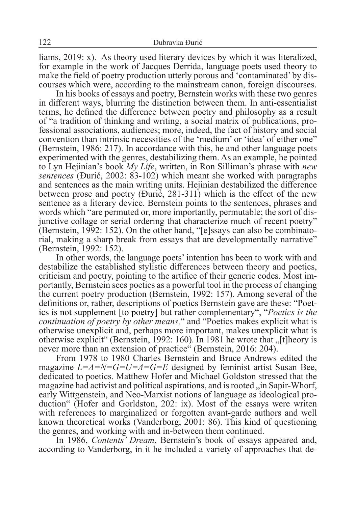liams, 2019: x). As theory used literary devices by which it was literalized, for example in the work of Jacques Derrida, language poets used theory to make the field of poetry production utterly porous and 'contaminated' by discourses which were, according to the mainstream canon, foreign discourses.

In his books of essays and poetry, Bernstein works with these two genres in different ways, blurring the distinction between them. In anti-essentialist terms, he defined the difference between poetry and philosophy as a result of "a tradition of thinking and writing, a social matrix of publications, professional associations, audiences; more, indeed, the fact of history and social convention than intrinsic necessities of the 'medium' or 'idea' of either one" (Bernstein, 1986: 217). In accordance with this, he and other language poets experimented with the genres, destabilizing them. As an example, he pointed to Lyn Hejinian's book *My Life*, written, in Ron Silliman's phrase with *new sentences* (Đurić, 2002: 83-102) which meant she worked with paragraphs and sentences as the main writing units. Hejinian destabilized the difference between prose and poetry (Đurić, 281-311) which is the effect of the new sentence as a literary device. Bernstein points to the sentences, phrases and words which "are permuted or, more importantly, permutable; the sort of disjunctive collage or serial ordering that characterize much of recent poetry" (Bernstein, 1992: 152). On the other hand, "[e]ssays can also be combinatorial, making a sharp break from essays that are developmentally narrative" (Bernstein, 1992: 152).

In other words, the language poets' intention has been to work with and destabilize the established stylistic differences between theory and poetics, criticism and poetry, pointing to the artifice of their generic codes. Most importantly, Bernstein sees poetics as a powerful tool in the process of changing the current poetry production (Bernstein, 1992: 157). Among several of the definitions or, rather, descriptions of poetics Bernstein gave are these: "Poet- ics is not supplement [to poetry] but rather complementary", "*Poetics is the continuation of poetry by other means,*" and "Poetics makes explicit what is otherwise unexplicit and, perhaps more important, makes unexplicit what is otherwise explicit" (Bernstein, 1992: 160). In 1981 he wrote that  $\mathcal{F}_{1}$ [t]heory is never more than an extension of practice" (Bernstein, 2016: 204).

From 1978 to 1980 Charles Bernstein and Bruce Andrews edited the magazine *L=A=N=G=U=A=G=E* designed by feminist artist Susan Bee, dedicated to poetics. Matthew Hofer and Michael Goldston stressed that the magazine had activist and political aspirations, and is rooted ,, in Sapir-Whorf, early Wittgenstein, and Neo-Marxist notions of language as ideological production" (Hofer and Gorldston, 202: ix). Most of the essays were writen with references to marginalized or forgotten avant-garde authors and well known theoretical works (Vanderborg, 2001: 86). This kind of questioning the genres, and working with and in-between them continued.

In 1986, *Contents' Dream*, Bernstein's book of essays appeared and, according to Vanderborg, in it he included a variety of approaches that de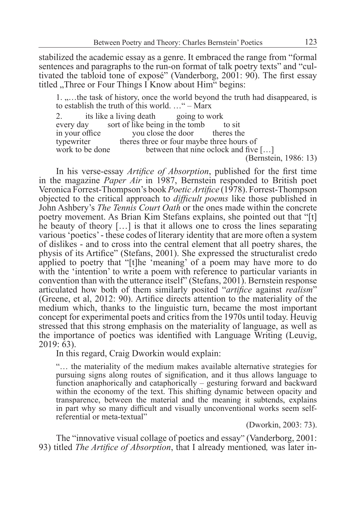stabilized the academic essay as a genre. It embraced the range from "formal sentences and paragraphs to the run-on format of talk poetry texts" and "cultivated the tabloid tone of exposé" (Vanderborg, 2001: 90). The first essay titled , Three or Four Things I Know about Him "begins:

1. ....the task of history, once the world beyond the truth had disappeared, is to establish the truth of this world. …" – Marx

2. its like a living death going to work<br>every day sort of like being in the tomb to sit sort of like being in the tomb in your office you close the door theres the typewriter theres three or four maybe three hours of work to be done between that nine oclock and five between that nine oclock and five  $[...]$ (Bernstein, 1986: 13)

In his verse-essay *Artifice of Absorption*, published for the first time in the magazine *Paper Air* in 1987, Bernstein responded to British poet Veronica Forrest-Thompson's book *Poetic Artifice* (1978). Forrest-Thompson objected to the critical approach to *difficult poems* like those published in John Ashbery's *The Tennis Court Oath* or the ones made within the concrete poetry movement. As Brian Kim Stefans explains, she pointed out that "[t] he beauty of theory […] is that it allows one to cross the lines separating various 'poetics' - these codes of literary identity that are more often a system of dislikes - and to cross into the central element that all poetry shares, the physis of its Artifice" (Stefans, 2001). She expressed the structuralist credo applied to poetry that "[t]he 'meaning' of a poem may have more to do with the 'intention' to write a poem with reference to particular variants in convention than with the utterance itself" (Stefans, 2001). Bernstein response articulated how both of them similarly posited "*artifice* against *realism*" (Greene, et al, 2012: 90). Artifice directs attention to the materiality of the medium which, thanks to the linguistic turn, became the most important concept for experimental poets and critics from the 1970s until today. Heuvig stressed that this strong emphasis on the materiality of language, as well as the importance of poetics was identified with Language Writing (Leuvig, 2019: 63).

In this regard, Craig Dworkin would explain:

"… the materiality of the medium makes available alternative strategies for pursuing signs along routes of signification, and it thus allows language to function anaphorically and cataphorically – gesturing forward and backward within the economy of the text. This shifting dynamic between opacity and transparence, between the material and the meaning it subtends, explains in part why so many difficult and visually unconventional works seem selfreferential or meta-textual"

(Dworkin, 2003: 73).

The "innovative visual collage of poetics and essay" (Vanderborg, 2001: 93) titled *The Artifice of Absorption*, that I already mentioned*,* was later in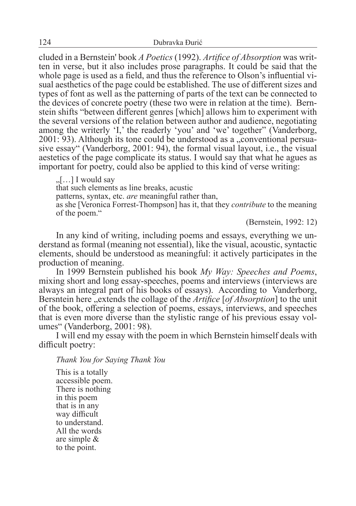cluded in a Bernstein' book *A Poetics* (1992). *Artifice of Absorption* was written in verse, but it also includes prose paragraphs. It could be said that the whole page is used as a field, and thus the reference to Olson's influential visual aesthetics of the page could be established. The use of different sizes and types of font as well as the patterning of parts of the text can be connected to the devices of concrete poetry (these two were in relation at the time). Bernstein shifts "between different genres [which] allows him to experiment with the several versions of the relation between author and audience, negotiating among the writerly 'I,' the readerly 'you' and 'we' together" (Vanderborg, 2001: 93). Although its tone could be understood as a "conventional persuasive essay" (Vanderborg, 2001: 94), the formal visual layout, i.e., the visual aestetics of the page complicate its status. I would say that what he agues as important for poetry, could also be applied to this kind of verse writing:

 $\left[\ldots\right]$  I would say that such elements as line breaks, acustic patterns, syntax, etc. *are* meaningful rather than, as she [Veronica Forrest-Thompson] has it, that they *contribute* to the meaning of the poem."

(Bernstein, 1992: 12)

In any kind of writing, including poems and essays, everything we understand as formal (meaning not essential), like the visual, acoustic, syntactic elements, should be understood as meaningful: it actively participates in the production of meaning.

In 1999 Bernstein published his book *My Way: Speeches and Poems*, mixing short and long essay-speeches, poems and interviews (interviews are always an integral part of his books of essays). According to Vanderborg, Bersntein here ,, extends the collage of the *Artifice* [*of Absorption*] to the unit of the book, offering a selection of poems, essays, interviews, and speeches that is even more diverse than the stylistic range of his previous essay vol- umes" (Vanderborg, 2001: 98).

I will end my essay with the poem in which Bernstein himself deals with difficult poetry:

*Thank You for Saying Thank You*

This is a totally accessible poem. There is nothing in this poem that is in any way difficult to understand. All the words are simple & to the point.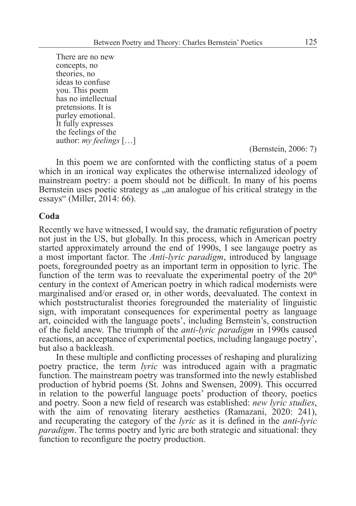There are no new concepts, no theories, no ideas to confuse you. This poem has no intellectual pretensions. It is purley emotional. It fully expresses the feelings of the author: *my feelings* [...]<br>(Bernstein, 2006: 7)

In this poem we are confornted with the conflicting status of a poem which in an ironical way explicates the otherwise internalized ideology of mainstream poetry: a poem should not be difficult. In many of his poems Bernstein uses poetic strategy as ,,an analogue of his critical strategy in the essays" (Miller, 2014: 66).

### **Coda**

Recently we have witnessed, I would say, the dramatic refiguration of poetry not just in the US, but globally. In this process, which in American poetry started approximately arround the end of 1990s, I see langauge poetry as a most important factor. The *Anti-lyric paradigm*, introduced by language poets, foregrounded poetry as an important term in opposition to lyric. The function of the term was to reevaluate the experimental poetry of the  $20<sup>th</sup>$ century in the context of American poetry in which radical modernists were marginalised and/or erased or, in other words, deevaluated. The context in which poststructuralist theories foregrounded the materiality of linguistic sign, with imporatant consequences for experimental poetry as language art, coincided with the language poets', including Bernstein's, construction of the field anew. The triumph of the *anti-lyric paradigm* in 1990s caused reactions, an acceptance of experimental poetics, including langauge poetry', but also a backleash.

In these multiple and conflicting processes of reshaping and pluralizing poetry practice, the term *lyric* was introduced again with a pragmatic function. The mainstream poetry was transformed into the newly established production of hybrid poems (St. Johns and Swensen, 2009). This occurred in relation to the powerful language poets' production of theory, poetics and poetry. Soon a new field of research was established: *new lyric studies*, with the aim of renovating literary aesthetics (Ramazani, 2020: 241), and recuperating the category of the *lyric* as it is defined in the *anti-lyric paradigm*. The terms poetry and lyric are both strategic and situational: they function to reconfigure the poetry production.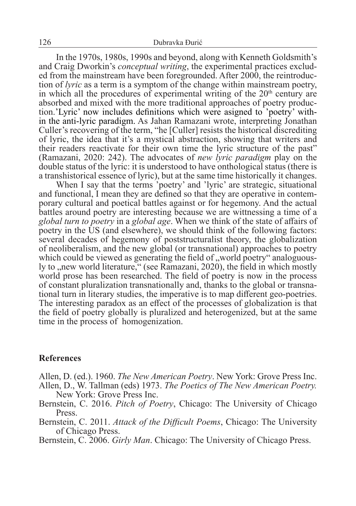In the 1970s, 1980s, 1990s and beyond, along with Kenneth Goldsmith's and Craig Dworkin's *conceptual writing*, the experimental practices excluded from the mainstream have been foregrounded. After 2000, the reintroduction of *lyric* as a term is a symptom of the change within mainstream poetry, in which all the procedures of experimental writing of the  $20<sup>th</sup>$  century are absorbed and mixed with the more traditional approaches of poetry production.'Lyric' now includes definitions which were asigned to 'poetry' within the anti-lyric paradigm. As Jahan Ramazani wrote, interpreting Jonathan Culler's recovering of the term, "he [Culler] resists the historical discrediting of lyric, the idea that it's a mystical abstraction, showing that writers and their readers reactivate for their own time the lyric structure of the past" (Ramazani, 2020: 242). The advocates of *new lyric paradigm* play on the double status of the lyric: it is understood to have onthological status (there is a transhistorical essence of lyric), but at the same time historically it changes.

When I say that the terms 'poetry' and 'lyric' are strategic, situational and functional, I mean they are defined so that they are operative in contemporary cultural and poetical battles against or for hegemony. And the actual battles around poetry are interesting because we are wittnessing a time of a *global turn to poetry* in a *global age*. When we think of the state of affairs of poetry in the US (and elsewhere), we should think of the following factors: several decades of hegemony of poststructuralist theory, the globalization of neoliberalism, and the new global (or transnational) approaches to poetry which could be viewed as generating the field of , world poetry analoguously to , new world literature," (see Ramazani, 2020), the field in which mostly world prose has been researched. The field of poetry is now in the process of constant pluralization transnationally and, thanks to the global or transnational turn in literary studies, the imperative is to map different geo-poetries. The interesting paradox as an effect of the processes of globalization is that the field of poetry globally is pluralized and heterogenized, but at the same time in the process of homogenization.

## **References**

Allen, D. (ed.). 1960. *The New American Poetry*. New York: Grove Press Inc.

- Allen, D., W. Tallman (eds) 1973. *The Poetics of The New American Poetry.*  New York: Grove Press Inc.
- Bernstein, C. 2016. *Pitch of Poetry*, Chicago: The University of Chicago Press.
- Bernstein, C. 2011. *Attack of the Difficult Poems*, Chicago: The University of Chicago Press.
- Bernstein, C. 2006. *Girly Man*. Chicago: The University of Chicago Press.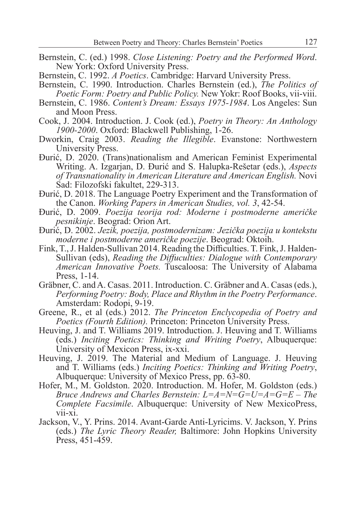- Bernstein, C. (ed.) 1998. *Close Listening: Poetry and the Performed Word*. New York: Oxford University Press.
- Bernstein, C. 1992. *A Poetics*. Cambridge: Harvard University Press.
- Bernstein, C. 1990. Introduction. Charles Bernstein (ed.), *The Politics of Poetic Form: Poetry and Public Policy.* New Yokr: Roof Books, vii-viii.
- Bernstein, C. 1986. *Content's Dream: Essays 1975-1984*. Los Angeles: Sun and Moon Press.
- Cook, J. 2004. Introduction. J. Cook (ed.), *Poetry in Theory: An Anthology 1900-2000*. Oxford: Blackwell Publishing, 1-26.
- Dworkin, Craig 2003. *Reading the Illegible*. Evanstone: Northwestern University Press.
- Đurić, D. 2020. (Trans)nationalism and American Feminist Experimental Writing. A. Izgarjan, D. Đurić and S. Halupka-Rešetar (eds.), *Aspects of Transnationality in American Literature and American English.* Novi Sad: Filozofski fakultet, 229-313.
- Đurić, D. 2018. The Language Poetry Experiment and the Transformation of the Canon. *Working Papers in American Studies, vol. 3*, 42-54.
- Đurić, D. 2009. *Poezija teorija rod: Moderne i postmoderne američke pesnikinje*. Beograd: Orion Art.
- Đurić, D. 2002. *Jezik, poezija, postmodernizam: Jezička poezija u kontekstu moderne i postmoderne američke poezije*. Beograd: Oktoih.
- Fink, T., J. Halden-Sullivan 2014. Reading the Difficulties. T. Fink, J. Halden-Sullivan (eds), *Reading the Diffuculties: Dialogue with Contemporary American Innovative Poets.* Tuscaloosa: The University of Alabama Press, 1-14.
- Gräbner, C. and A. Casas. 2011. Introduction. C. Gräbner and A. Casas (eds.), *Performing Poetry: Body, Place and Rhythm in the Poetry Performance*. Amsterdam: Rodopi, 9-19.
- Greene, R., et al (eds.) 2012. *The Princeton Enclycopedia of Poetry and Poetics (Fourth Edition).* Princeton: Princeton University Press.
- Heuving, J. and T. Williams 2019. Introduction. J. Heuving and T. Williams (eds.) *Inciting Poetics: Thinking and Writing Poetry*, Albuquerque: University of Mexicon Press, ix-xxi.
- Heuving, J. 2019. The Material and Medium of Language. J. Heuving and T. Williams (eds.) *Inciting Poetics: Thinking and Writing Poetry*, Albuquerque: University of Mexico Press, pp. 63-80.
- Hofer, M., M. Goldston. 2020. Introduction. M. Hofer, M. Goldston (eds.) *Bruce Andrews and Charles Bernstein: L=A=N=G=U=A=G=E – The Complete Facsimile*. Albuquerque: University of New MexicoPress,  $vii-xi.$
- Jackson, V., Y. Prins. 2014. Avant-Garde Anti-Lyricims. V. Jackson, Y. Prins (eds.) *The Lyric Theory Reader,* Baltimore: John Hopkins University Press, 451-459.